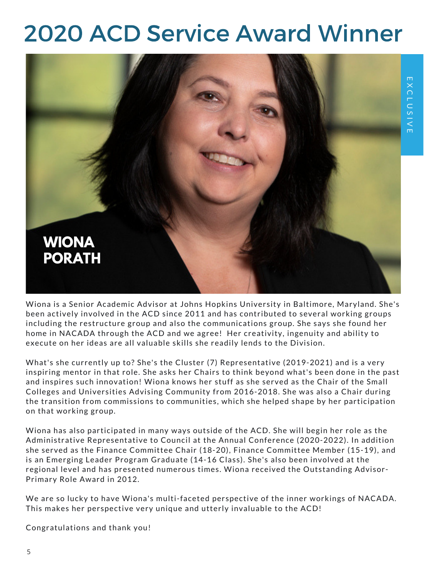## 2020 ACD Service Award Winner



been actively involved in the ACD since 2011 and has contributed to several working groups Including the restructure group and also the communications group. She says she round ho<br>home in NACADA through the ACD and we agree! Her creativity, ingenuity and ability to Wiona is a Senior Academic Advisor at Johns Hopkins University in Baltimore, Maryland. She's including the restructure group and also the communications group. She says she found her execute on her ideas are all valuable skills she readily lends to the Division.

What's she currently up to? She's the Cluster (7) Representative (2019-2021) and is a very inspiring mentor in that role. She asks her Chairs to think beyond what's been done in the past and inspires such innovation! Wiona knows her stuff as she served as the Chair of the Small Colleges and Universities Advising Community from 2016-2018. She was also a Chair during the transition from commissions to communities, which she helped shape by her participation on that working group.

Wiona has also participated in many ways outside of the ACD. She will begin her role as the Administrative Representative to Council at the Annual Conference (2020-2022). In addition she served as the Finance Committee Chair (18-20), Finance Committee Member (15-19), and is an Emerging Leader Program Graduate (14-16 Class). She's also been involved at the regional level and has presented numerous times. Wiona received the Outstanding Advisor-Primary Role Award in 2012.

We are so lucky to have Wiona's multi-faceted perspective of the inner workings of NACADA. This makes her perspective very unique and utterly invaluable to the ACD!

Congratulations and thank you!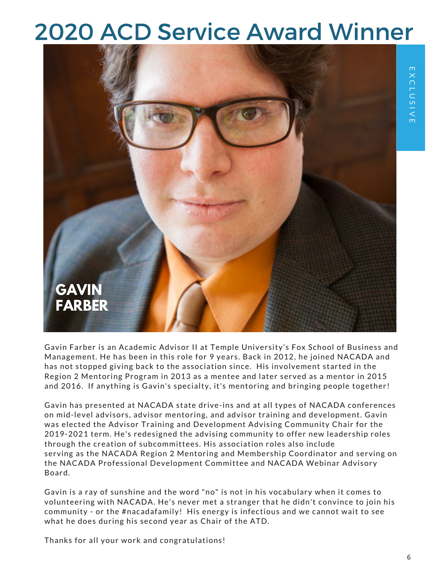## 2020 ACD Service Award Winner



Gavin Farber is an Academic Advisor II at Temple University's Fox School of Business and Management. He has been in this role for 9 years. Back in 2012, he joined NACADA and has not stopped giving back to the association since. His involvement started in the Region 2 Mentoring Program in 2013 as a mentee and later served as a mentor in 2015 and 2016. If anything is Gavin's specialty, it's mentoring and bringing people together!

Gavin has presented at NACADA state drive-ins and at all types of NACADA conferences on mid-level advisors, advisor mentoring, and advisor training and development. Gavin was elected the Advisor Training and Development Advising Community Chair for the 2019-2021 term. He's redesigned the advising community to offer new leadership roles through the creation of subcommittees. His association roles also include serving as the NACADA Region 2 Mentoring and Membership Coordinator and serving on the NACADA Professional Development Committee and NACADA Webinar Advisory Board.

Gavin is a ray of sunshine and the word "no" is not in his vocabulary when it comes to volunteering with NACADA. He's never met a stranger that he didn't convince to join his community - or the #nacadafamily! His energy is infectious and we cannot wait to see what he does during his second year as Chair of the ATD.

Thanks for all your work and congratulations!

E X C L U S I V E

EXCLUSIVE